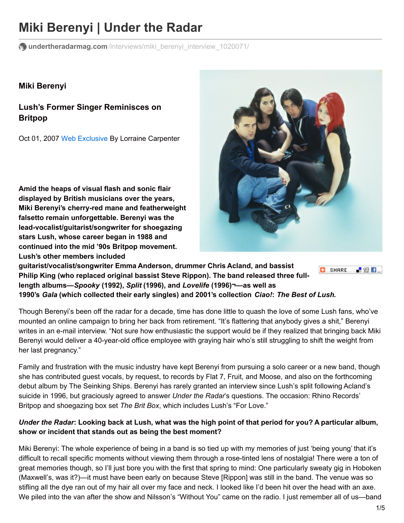# **Miki Berenyi | Under the Radar**

**undertheradarmag.com**[/interviews/miki\\_berenyi\\_interview\\_1020071/](http://www.undertheradarmag.com/interviews/miki_berenyi_interview_1020071/)

#### **Miki Berenyi**

**Lush's Former Singer Reminisces on Britpop**

Oct 01, 2007 Web [Exclusive](http://www.undertheradarmag.com/issues/webexclusive/) By Lorraine Carpenter

**Amid the heaps of visual flash and sonic flair displayed by British musicians over the years, Miki Berenyi's cherry-red mane and featherweight falsetto remain unforgettable. Berenyi was the lead-vocalist/guitarist/songwriter for shoegazing stars Lush, whose career began in 1988 and continued into the mid '90s Britpop movement. Lush's other members included**



**guitarist/vocalist/songwriter Emma Anderson, drummer Chris Acland, and bassist C** SHARE **Philip King (who replaced original bassist Steve Rippon). The band released three fulllength albums—***Spooky* **(1992),** *Split* **(1996), and** *Lovelife* **(1996)¬—as well as 1990's** *Gala* **(which collected their early singles) and 2001's collection** *Ciao!***:** *The Best of Lush***.**

Though Berenyi's been off the radar for a decade, time has done little to quash the love of some Lush fans, who've mounted an online campaign to bring her back from retirement. "It's flattering that anybody gives a shit," Berenyi writes in an e-mail interview. "Not sure how enthusiastic the support would be if they realized that bringing back Miki Berenyi would deliver a 40-year-old office employee with graying hair who's still struggling to shift the weight from her last pregnancy."

Family and frustration with the music industry have kept Berenyi from pursuing a solo career or a new band, though she has contributed guest vocals, by request, to records by Flat 7, Fruit, and Moose, and also on the forthcoming debut album by The Seinking Ships. Berenyi has rarely granted an interview since Lush's split following Acland's suicide in 1996, but graciously agreed to answer *Under the Radar*'s questions. The occasion: Rhino Records' Britpop and shoegazing box set *The Brit Box*, which includes Lush's "For Love."

#### Under the Radar: Looking back at Lush, what was the high point of that period for you? A particular album, **show or incident that stands out as being the best moment?**

Miki Berenyi: The whole experience of being in a band is so tied up with my memories of just 'being young' that it's difficult to recall specific moments without viewing them through a rose-tinted lens of nostalgia! There were a ton of great memories though, so I'll just bore you with the first that spring to mind: One particularly sweaty gig in Hoboken (Maxwell's, was it?)—it must have been early on because Steve [Rippon] was still in the band. The venue was so stifling all the dye ran out of my hair all over my face and neck. I looked like I'd been hit over the head with an axe. We piled into the van after the show and Nilsson's "Without You" came on the radio. I just remember all of us—band

-82 E ...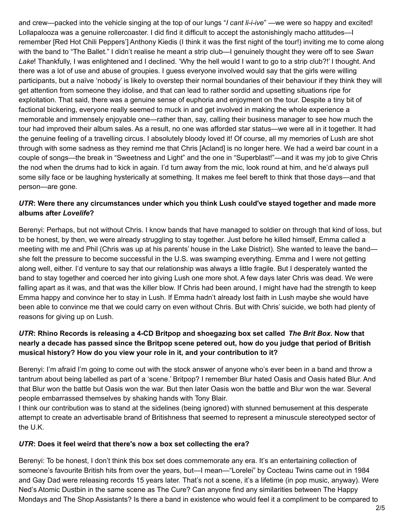and crew—packed into the vehicle singing at the top of our lungs "*I cant li-i-ive*" —we were so happy and excited! Lollapalooza was a genuine rollercoaster. I did find it difficult to accept the astonishingly macho attitudes—I remember [Red Hot Chili Peppers'] Anthony Kiedis (I think it was the first night of the tour!) inviting me to come along with the band to "The Ballet." I didn't realise he meant a strip club—I genuinely thought they were off to see *Swan Lake*! Thankfully, I was enlightened and I declined. 'Why the hell would I want to go to a strip club?!' I thought. And there was a lot of use and abuse of groupies. I guess everyone involved would say that the girls were willing participants, but a naïve 'nobody' is likely to overstep their normal boundaries of their behaviour if they think they will get attention from someone they idolise, and that can lead to rather sordid and upsetting situations ripe for exploitation. That said, there was a genuine sense of euphoria and enjoyment on the tour. Despite a tiny bit of factional bickering, everyone really seemed to muck in and get involved in making the whole experience a memorable and immensely enjoyable one—rather than, say, calling their business manager to see how much the tour had improved their album sales. As a result, no one was afforded star status—we were all in it together. It had the genuine feeling of a travelling circus. I absolutely bloody loved it! Of course, all my memories of Lush are shot through with some sadness as they remind me that Chris [Acland] is no longer here. We had a weird bar count in a couple of songs—the break in "Sweetness and Light" and the one in "Superblast!"—and it was my job to give Chris the nod when the drums had to kick in again. I'd turn away from the mic, look round at him, and he'd always pull some silly face or be laughing hysterically at something. It makes me feel bereft to think that those days—and that person—are gone.

#### *UTR***: Were there any circumstances under which you think Lush could've stayed together and made more albums after** *Lovelife***?**

Berenyi: Perhaps, but not without Chris. I know bands that have managed to soldier on through that kind of loss, but to be honest, by then, we were already struggling to stay together. Just before he killed himself, Emma called a meeting with me and Phil (Chris was up at his parents' house in the Lake District). She wanted to leave the band she felt the pressure to become successful in the U.S. was swamping everything. Emma and I were not getting along well, either. I'd venture to say that our relationship was always a little fragile. But I desperately wanted the band to stay together and coerced her into giving Lush one more shot. A few days later Chris was dead. We were falling apart as it was, and that was the killer blow. If Chris had been around, I might have had the strength to keep Emma happy and convince her to stay in Lush. If Emma hadn't already lost faith in Lush maybe she would have been able to convince me that we could carry on even without Chris. But with Chris' suicide, we both had plenty of reasons for giving up on Lush.

### UTR: Rhino Records is releasing a 4-CD Britpop and shoegazing box set called The Brit Box. Now that nearly a decade has passed since the Britpop scene petered out, how do you judge that period of British **musical history? How do you view your role in it, and your contribution to it?**

Berenyi: I'm afraid I'm going to come out with the stock answer of anyone who's ever been in a band and throw a tantrum about being labelled as part of a 'scene.' Britpop? I remember Blur hated Oasis and Oasis hated Blur. And that Blur won the battle but Oasis won the war. But then later Oasis won the battle and Blur won the war. Several people embarrassed themselves by shaking hands with Tony Blair.

I think our contribution was to stand at the sidelines (being ignored) with stunned bemusement at this desperate attempt to create an advertisable brand of Britishness that seemed to represent a minuscule stereotyped sector of the U.K.

#### *UTR***: Does it feel weird that there's now a box set collecting the era?**

Berenyi: To be honest, I don't think this box set does commemorate any era. It's an entertaining collection of someone's favourite British hits from over the years, but—I mean—"Lorelei" by Cocteau Twins came out in 1984 and Gay Dad were releasing records 15 years later. That's not a scene, it's a lifetime (in pop music, anyway). Were Ned's Atomic Dustbin in the same scene as The Cure? Can anyone find any similarities between The Happy Mondays and The Shop Assistants? Is there a band in existence who would feel it a compliment to be compared to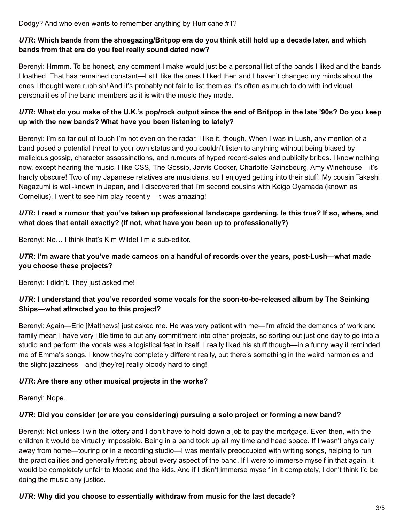Dodgy? And who even wants to remember anything by Hurricane #1?

#### UTR: Which bands from the shoegazing/Britpop era do you think still hold up a decade later, and which **bands from that era do you feel really sound dated now?**

Berenyi: Hmmm. To be honest, any comment I make would just be a personal list of the bands I liked and the bands I loathed. That has remained constant—I still like the ones I liked then and I haven't changed my minds about the ones I thought were rubbish! And it's probably not fair to list them as it's often as much to do with individual personalities of the band members as it is with the music they made.

#### UTR: What do you make of the U.K.'s pop/rock output since the end of Britpop in the late '90s? Do you keep **up with the new bands? What have you been listening to lately?**

Berenyi: I'm so far out of touch I'm not even on the radar. I like it, though. When I was in Lush, any mention of a band posed a potential threat to your own status and you couldn't listen to anything without being biased by malicious gossip, character assassinations, and rumours of hyped record-sales and publicity bribes. I know nothing now, except hearing the music. I like CSS, The Gossip, Jarvis Cocker, Charlotte Gainsbourg, Amy Winehouse—it's hardly obscure! Two of my Japanese relatives are musicians, so I enjoyed getting into their stuff. My cousin Takashi Nagazumi is well-known in Japan, and I discovered that I'm second cousins with Keigo Oyamada (known as Cornelius). I went to see him play recently—it was amazing!

#### UTR: I read a rumour that you've taken up professional landscape gardening. Is this true? If so, where, and **what does that entail exactly? (If not, what have you been up to professionally?)**

Berenyi: No… I think that's Kim Wilde! I'm a sub-editor.

#### *UTR***: I'm aware that you've made cameos on a handful of records over the years, post-Lush—what made you choose these projects?**

Berenyi: I didn't. They just asked me!

#### *UTR***: I understand that you've recorded some vocals for the soon-to-be-released album by The Seinking Ships—what attracted you to this project?**

Berenyi: Again—Eric [Matthews] just asked me. He was very patient with me—I'm afraid the demands of work and family mean I have very little time to put any commitment into other projects, so sorting out just one day to go into a studio and perform the vocals was a logistical feat in itself. I really liked his stuff though—in a funny way it reminded me of Emma's songs. I know they're completely different really, but there's something in the weird harmonies and the slight jazziness—and [they're] really bloody hard to sing!

#### *UTR***: Are there any other musical projects in the works?**

Berenyi: Nope.

#### *UTR***: Did you consider (or are you considering) pursuing a solo project or forming a new band?**

Berenyi: Not unless I win the lottery and I don't have to hold down a job to pay the mortgage. Even then, with the children it would be virtually impossible. Being in a band took up all my time and head space. If I wasn't physically away from home—touring or in a recording studio—I was mentally preoccupied with writing songs, helping to run the practicalities and generally fretting about every aspect of the band. If I were to immerse myself in that again, it would be completely unfair to Moose and the kids. And if I didn't immerse myself in it completely, I don't think I'd be doing the music any justice.

#### *UTR***: Why did you choose to essentially withdraw from music for the last decade?**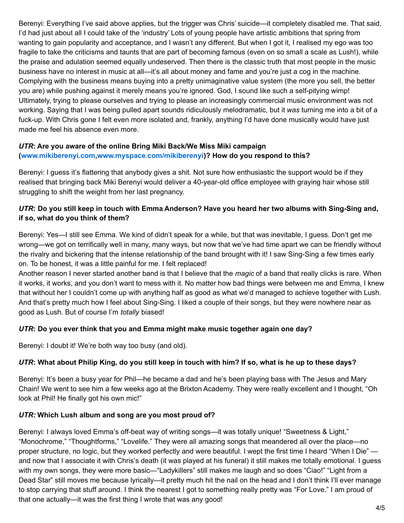Berenyi: Everything I've said above applies, but the trigger was Chris' suicide—it completely disabled me. That said, I'd had just about all I could take of the 'industry' Lots of young people have artistic ambitions that spring from wanting to gain popularity and acceptance, and I wasn't any different. But when I got it, I realised my ego was too fragile to take the criticisms and taunts that are part of becoming famous (even on so small a scale as Lush!), while the praise and adulation seemed equally undeserved. Then there is the classic truth that most people in the music business have no interest in music at all—it's all about money and fame and you're just a cog in the machine. Complying with the business means buying into a pretty unimaginative value system (the more you sell, the better you are) while pushing against it merely means you're ignored. God, I sound like such a self-pitying wimp! Ultimately, trying to please ourselves and trying to please an increasingly commercial music environment was not working. Saying that I was being pulled apart sounds ridiculously melodramatic, but it *was* turning me into a bit of a fuck-up. With Chris gone I felt even more isolated and, frankly, anything I'd have done musically would have just made me feel his absence even more.

## *UTR***: Are you aware of the online Bring Miki Back/We Miss Miki campaign**

#### **([www.mikiberenyi.com](http://www.mikiberenyi.com/)[,www.myspace.com/mikiberenyi\)](http://www.myspace.com/mikiberenyi)? How do you respond to this?**

Berenyi: I guess it's flattering that anybody gives a shit. Not sure how enthusiastic the support would be if they realised that bringing back Miki Berenyi would deliver a 40-year-old office employee with graying hair whose still struggling to shift the weight from her last pregnancy.

## UTR: Do you still keep in touch with Emma Anderson? Have you heard her two albums with Sing-Sing and, **if so, what do you think of them?**

Berenyi: Yes—I still see Emma. We kind of didn't speak for a while, but that was inevitable, I guess. Don't get me wrong—we got on terrifically well in many, many ways, but now that we've had time apart we can be friendly without the rivalry and bickering that the intense relationship of the band brought with it! I saw Sing-Sing a few times early on. To be honest, it was a little painful for me. I felt replaced!

Another reason I never started another band is that I believe that the *magic* of a band that really clicks is rare. When it works, it works, and you don't want to mess with it. No matter how bad things were between me and Emma, I knew that without her I couldn't come up with anything half as good as what we'd managed to achieve together with Lush. And that's pretty much how I feel about Sing-Sing. I liked a couple of their songs, but they were nowhere near as good as Lush. But of course I'm *totally* biased!

## *UTR***: Do you ever think that you and Emma might make music together again one day?**

Berenyi: I doubt it! We're both way too busy (and old).

## UTR: What about Philip King, do you still keep in touch with him? If so, what is he up to these days?

Berenyi: It's been a busy year for Phil—he became a dad and he's been playing bass with The Jesus and Mary Chain! We went to see him a few weeks ago at the Brixton Academy. They were really excellent and I thought, "Oh look at Phil! He finally got his own mic!"

#### *UTR:* **Which Lush album and song are you most proud of?**

Berenyi: I always loved Emma's off-beat way of writing songs—it was totally unique! "Sweetness & Light," "Monochrome," "Thoughtforms," "Lovelife." They were all amazing songs that meandered all over the place—no proper structure, no logic, but they worked perfectly and were beautiful. I wept the first time I heard "When I Die" and now that I associate it with Chris's death (it was played at his funeral) it still makes me totally emotional. I guess with my own songs, they were more basic—"Ladykillers" still makes me laugh and so does "Ciao!" "Light from a Dead Star" still moves me because lyrically—it pretty much hit the nail on the head and I don't think I'll ever manage to stop carrying that stuff around. I think the nearest I got to something really pretty was "For Love." I am proud of that one actually—it was the first thing I wrote that was any good!